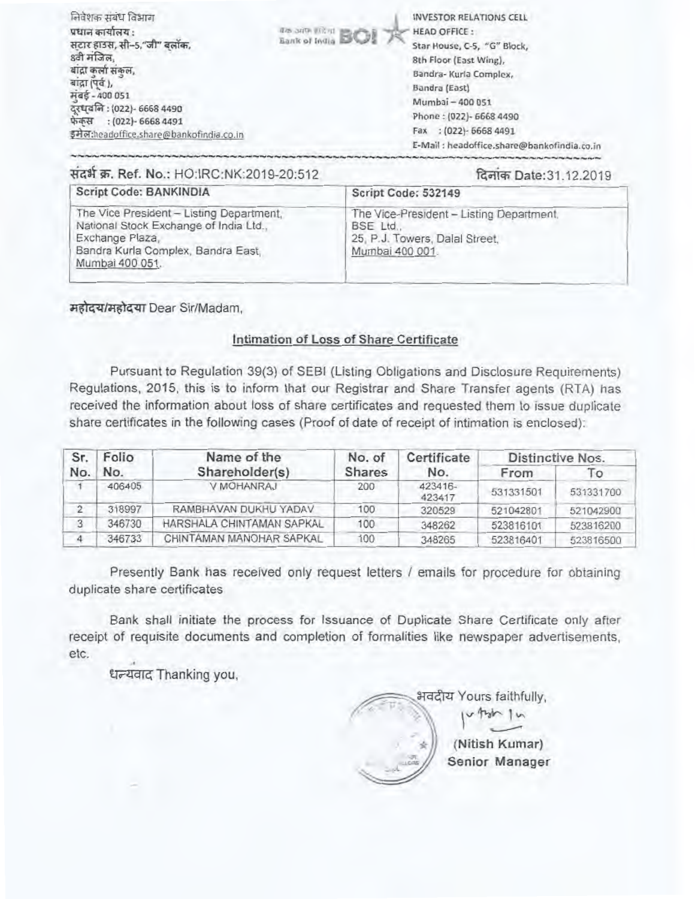| निवेशक संबंध विभाग<br>प्रधान कार्यालय :<br>सटार हाउस, सी-5,"जी" बलॉक,<br>8वी मंजिल,<br>बादी कलो सकल.<br>बाद्गा (पूर्व),<br>मबड़े - 400 051<br>दुरधवनि: (022)- 6668 4490<br>फेकस<br>$(022) - 66684491$<br>इमेल:headoffice.share@bankofindia.co.in | <b>Red Street In ROS</b> | <b>INVESTOR RELATIONS CELL</b><br><b>HEAD OFFICE:</b><br>Star House, C-5, "G" Block,<br>8th Floor (East Wing),<br>Bandra- Kurla Complex,<br>Bandra (East)<br>Mumbai - 400 051<br>Phone: (022)- 6668 4490<br>$(022) - 66684491$<br>Fax<br>E-Mail : headoffice.share@bankofindia.co.in |
|--------------------------------------------------------------------------------------------------------------------------------------------------------------------------------------------------------------------------------------------------|--------------------------|--------------------------------------------------------------------------------------------------------------------------------------------------------------------------------------------------------------------------------------------------------------------------------------|
|--------------------------------------------------------------------------------------------------------------------------------------------------------------------------------------------------------------------------------------------------|--------------------------|--------------------------------------------------------------------------------------------------------------------------------------------------------------------------------------------------------------------------------------------------------------------------------------|

# संदर्भ क्र. Ref. No.: HO:IRC:NK:2019-20:512

### दिनांक Date: 31.12.2019

| Script Code: BANKINDIA                                                                                                                                         | Script Code: 532149                                                                                        |
|----------------------------------------------------------------------------------------------------------------------------------------------------------------|------------------------------------------------------------------------------------------------------------|
| The Vice President - Listing Department.<br>National Stock Exchange of India Ltd.,<br>Exchange Plaza,<br>Bandra Kurla Complex, Bandra East,<br>Mumbai 400 051. | The Vice-President - Listing Department,<br>BSE Ltd.,<br>25, P.J. Towers, Dalal Street.<br>Mumbai 400 001. |

महोदय/महोदया Dear Sir/Madam,

## Intimation of Loss of Share Certificate

Pursuant to Regulation 39(3) of SEBI (Listing Obligations and Disclosure Requirements) Regulations, 2015, this is to inform that our Registrar and Share Transfer agents (RTA) has received the information about loss of share certificates and requested them to issue duplicate share certificates in the following cases (Proof of date of receipt of intimation is enclosed):

| Sr. | Folio  | Name of the               | No. of        | Certificate       |           | Distinctive Nos. |
|-----|--------|---------------------------|---------------|-------------------|-----------|------------------|
| No. | No.    | Shareholder(s)            | <b>Shares</b> | No.               | From      | $\overline{1}$   |
|     | 406405 | V MOHANRAJ                | 200           | 423416-<br>423417 | 531331501 | 531331700        |
|     | 318997 | RAMBHAVAN DUKHU YADAV     | 100           | 320529            | 521042801 | 521042900        |
| 3   | 346730 | HARSHALA CHINTAMAN SAPKAL | 100           | 348262            | 523816101 | 523816200        |
|     | 346733 | CHINTAMAN MANOHAR SAPKAL  | 100           | 348265            | 523816401 | 523816500        |

Presently Bank has received only request letters / emails for procedure for obtaining duplicate share certificates

Bank shall initiate the process for Issuance of Duplicate Share Certificate only after receipt of requisite documents and completion of formalities like newspaper advertisements, etc.

धन्यवाद Thanking you,

भवदीय Yours faithfully, u thin In (Nitish Kumar) Senior Manager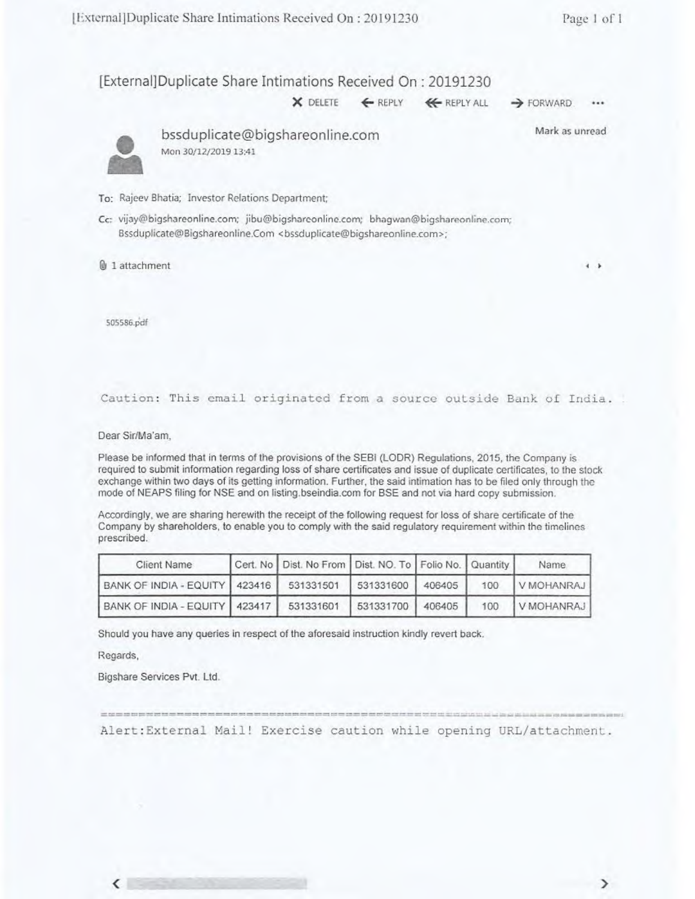[External]Duplicate Share Intimations Received On: 20191230

 $\times$  DELETE  $\leftarrow$  REPLY  $\leftarrow$  REPLY ALL  $\rightarrow$  FORWARD.

...



bssduplicate@bigshareonline.com Mon 30/12/2019 13:41

Mark as unread

To: Rajeev Bhatia; Investor Relations Department;

Cc: vijay@bigshareonline.com; jibu@bigsharconline.com; bhagwan@bigshareenline.com; Bssduplicate@Bigshareonline.Com <br/>bssduplicate@bigshareonline.com>;

tik 1 attachment **4 I.**

505586.pdf

Caution: This email originated from a source outside Bank of India.

Dear Sir/Ma'am,

Please be informed that in terms of the provisions of the SEBI (LODR} Regulations, 2015, the Company is required to submit information regarding loss of share certificates and issue of duplicate certificates, to the stock exchange within two days of its getting information. Further, the said intimation has to be filed only through the mode of NEAPS filing for NSE and on listing.bseindia.com for BSE and not via hard copy submission.

Accordingly, we are sharing herewith the receipt of the following request for loss of share certificate of the Company by shareholders, to enable you to comply with the said regulatory requirement within the timelines prescribed.

| Client Name                                 | Cert. No   Dist. No From   Dist. NO. To   Folio No.   Quantity |                  |     | Name.      |
|---------------------------------------------|----------------------------------------------------------------|------------------|-----|------------|
| BANK OF INDIA - EQUITY   423416   531331501 |                                                                | 531331600 406405 | 100 | V MOHANRAJ |
| BANK OF INDIA - EQUITY   423417             | 531331601                                                      | 531331700 406405 | 100 | V MOHANRAJ |

Should you have any queries in respect of the aforesaid instruction kindly revert back.

Regards,

 $\left\langle \right\rangle$ 

Bigshare Services Pvt. Ltd.

will that two one that you think and that may here may see your your

Alert:External Mail! Exercise caution while opening URL/attachment.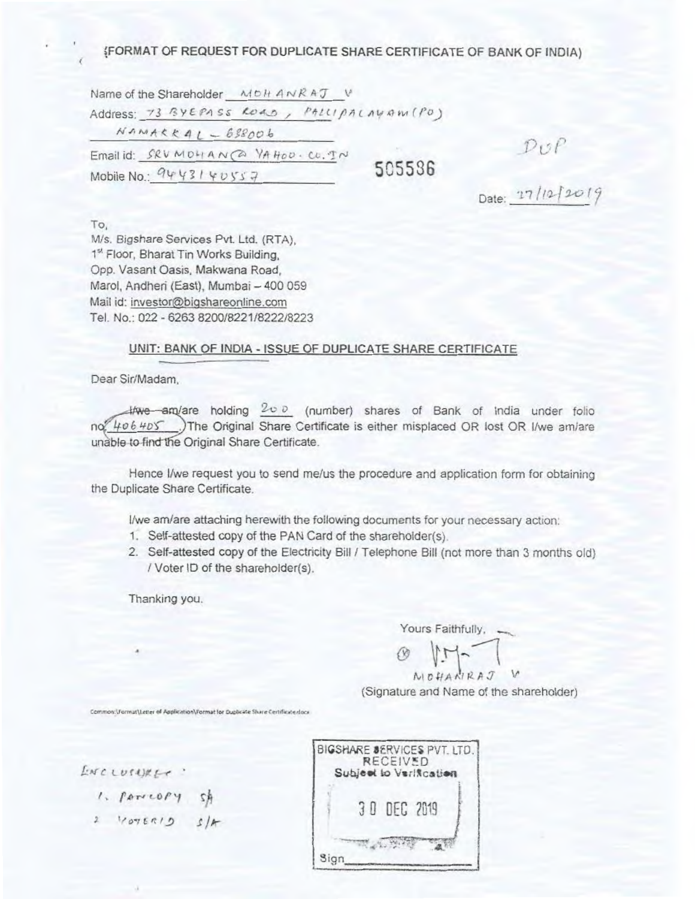# (FORMAT OF REQUEST FOR DUPLICATE SHARE CERTIFICATE OF BANK OF INDIA)

Name of the Shareholder MDH ANRAT V Address: 73 BYEPASS ROAD, PALLIPALAYAM (PO)  $NANAKKAI - 638006$ Email id: SRV MOHAN (2) YA HOD. CO. TN 505536 Mobile No.:  $9443140557$ 

 $DOP$ <br>Date:  $17/12/2019$ 

To. M/s. Bigshare Services Pvt. Ltd. (RTA). 1<sup>st</sup> Floor, Bharat Tin Works Building, Opp. Vasant Oasis, Makwana Road, Marol, Andheri (East), Mumbai - 400 059 Mail id: investor@bigshareonline.com Tel. No.: 022 - 6263 8200/8221/8222/8223

#### UNIT: BANK OF INDIA - ISSUE OF DUPLICATE SHARE CERTIFICATE

Dear Sir/Madam,

 $4$ /we am/are holding  $200$  (number) shares of Bank of India under folio no 406 405 .) The Original Share Certificate is either misplaced OR lost OR I/we am/are unable to find the Original Share Certificate.

Hence I/we request you to send me/us the procedure and application form for obtaining the Duplicate Share Certificate.

I/we am/are attaching herewith the following documents for your necessary action:

- 1. Self-attested copy of the PAN Card of the shareholder(s).
- 2. Self-attested copy of the Electricity Bill / Telephone Bill (not more than 3 months old) / Voter ID of the shareholder(s).

Thanking you.

Yours Faithfully. -

NOHANRAJ

(Signature and Name of the shareholder)

Common:\Format\Letter of Application\Format for Duplicate Share Certificate.docx

| ENCLUSURE - |  |  |  |  |  |
|-------------|--|--|--|--|--|
|             |  |  |  |  |  |

- 1. PATTLOPY SA<br>2 VOTERID S/A
- 

|      | <b>RECEIVED</b> | BIGSHARE SERVICES PVT. LTD.<br>Subject to VariAcation |  |
|------|-----------------|-------------------------------------------------------|--|
|      | 3 0 DEC 2019    |                                                       |  |
| Sign |                 |                                                       |  |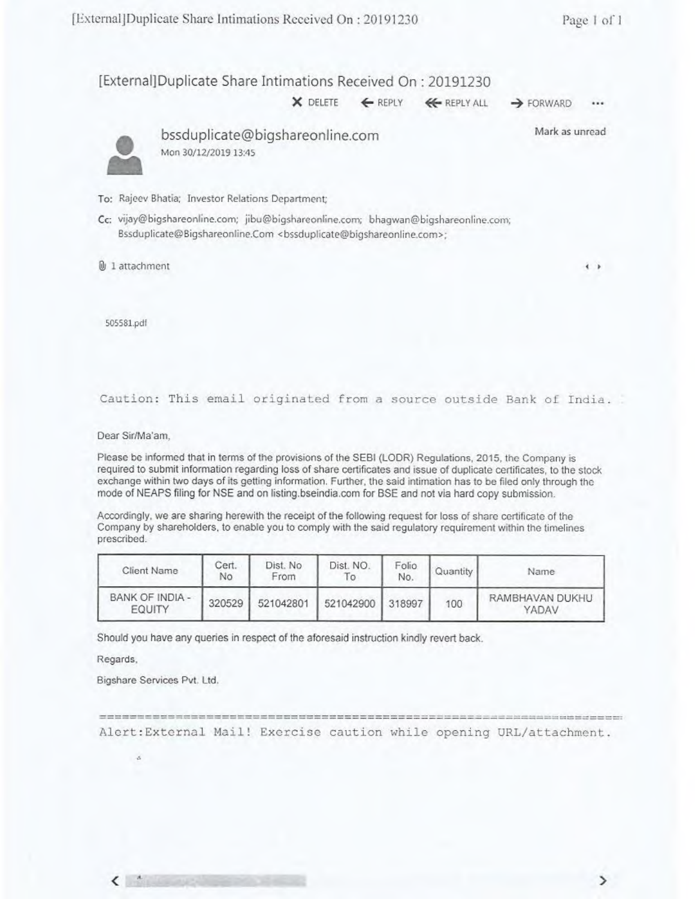[External]Duplicate Share Intimations Received On: 20191230 Nations Received On : 20191230<br>★ DELETE ← REPLY ← REPLY ALL → FORWARD

...

Mark as unread

**4** 



• bssduplicate@bigshareonline.com Mon 30/12/2019 13:45

To: Rajeev Bhatia: Investor Relations Department;

Cc: vijay@bigshareonline.com; jibu@bigshareonline.com; bhagwan@bigshareonline.com; Bssduplicate@Bigshareonline.Com <bssduplicate@bigshareonline.com>:

@J 1 attachment

505581.pcli

Caution: This email originated from a source outside Bank of India.

Dear Sir/Ma'am,

Please be informed that in terms of the provisions of the SEBI (LODR) Regulations, 2015. the Company is required to submit information regarding loss of share certificates and issue of duplicate certificates, to the stock exchange within two days of its getting information. Further, the said intimation has to be filed only through the mode of NEAPS filing for NSE and on listing.bseindia.com for BSE and not via hard copy submission.

Accordingly, we are sharing herewith the receipt of the following request for loss of share certificate of the Company by shareholders. to enable you to comply with the said regulatory requirement within the timelines prescribed.

| Client Name               | Cert.<br>No | Dist. No<br>From | Dist. NO.        | Folio.<br>No. | Quantity | Name                     |
|---------------------------|-------------|------------------|------------------|---------------|----------|--------------------------|
| BANK OF INDIA -<br>EQUITY | 320529      | 521042801        | 521042900 318997 |               | 100      | RAMBHAVAN DUKHU<br>YADAV |

Should you have any queries in respect of the aforesaid instruction kindly revert back.

Regards,

Bigshare Services Pvt. Ltd.

Alert:External Mail! Exercise caution while opening URL/attachment.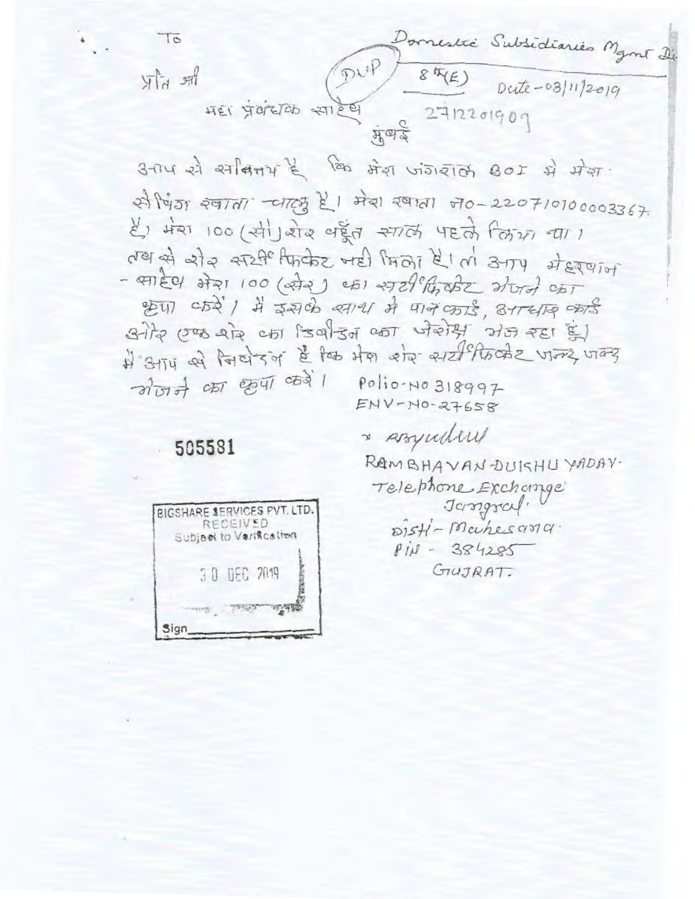Domestre Subsidiaries Mant die<br>1977 84(E) Dute-03/11/2019<br>1987 1998 1999  $70$  $\lim_{h\to 0} h(x)$ 

उनाप से स्वादिनय है कि मेरा जंगराल 801 में मेरा से चिंग खाला जाएसु है। मेरा खाला ज0-220710100003367. हैं। मेरा 100 (सी) बोर पहल साले पहले लिए या। der et als erzheltrate well froi klar atry stererior -  $4\pi$ ECY 2721 100 (272)  $451$  2729 ft 252 2/017 CAT श्रेण करें। मैं इसके स्वाय में पान कार्ड, उत्तर्दार कार्ड विग्रेस एक रोड़ का जिर्वाउन का जेसेड़ा अन रहा है। में अग्र से नियेरन है कि मेस रोज सार्टिंगिलीट जन्म जन्म  $ENV-NO-27658$ 

\* Assynding

# 505581

RAMBHAVANDUKHU YADAV. Telephone Exchange Jasspraf. DISH-Machesona.  $P111 - 384285$ GIUJRAT.

| BIGSHARE SERVICES PVT. LTD. | RECEIVED    | Subject to Verification |  |
|-----------------------------|-------------|-------------------------|--|
|                             | 30 DEC 2019 |                         |  |
|                             |             |                         |  |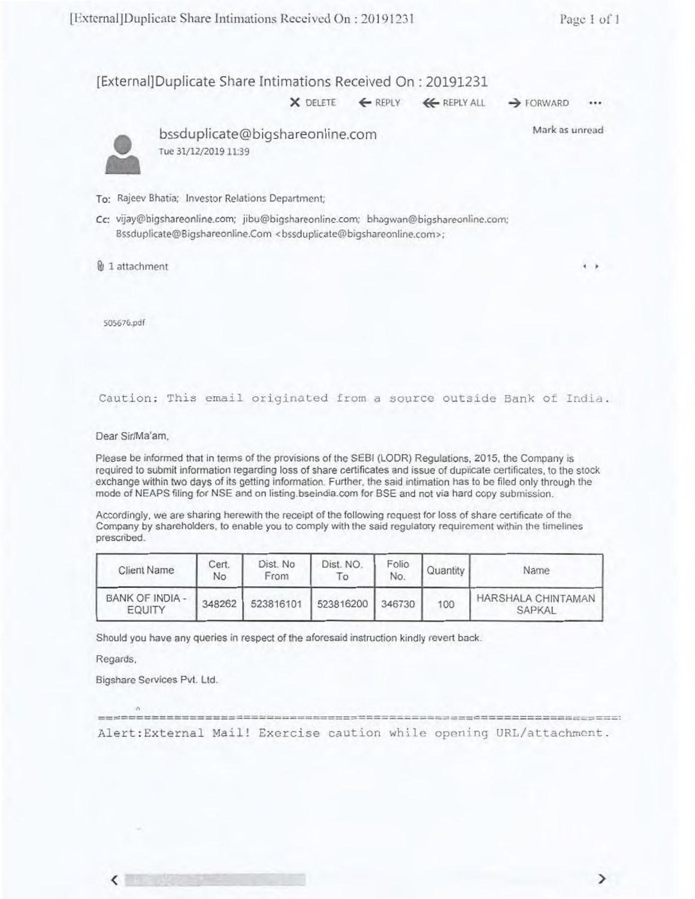...

[External]Duplicate Share Intimations Received On: 20191231

 $X$  DELETE  $\leftarrow$  REPLY  $\leftarrow$  REPLY ALL  $\rightarrow$  FORWARD

Mark as unread



• bssduplicate@bigshareonline.com Tue 31/12/2019 11:39

To: Rajeev Bhatia; Investor Relations Department;

Cc: vijay@bigshareonline.com; jibu@bigshareonline.com; bhagwan@bigshareonline.com; Bssduplicate@Bigshareonline.Com <bssduplicate@bigshareonline.com>;

g 1 attachment **<sup>4</sup>**

505676.pdf

#### Caution: This email originated from a source outside Bank of India.

Dear Sir/Ma'am.

Please be informed that in terms of the provisions of the 8E81(LODR) Regulations. 2015, the Company is required to submit information regarding loss of share certificates and issue of duplicate certificates, to the stock exchange within two days of its getting information. Further, the said intimation has to be filed only through the mode of NEAPS filing for NSE and on listing.bseindia.com for BSE and not via hard copy submission.

Accordingly, we are sharing herewith the receipt of the following request for loss of share certificate of the Company by shareholders, to enable you to comply with the said regulatory requirement within the timelines prescribed.

| Client Name               | Cert.<br>No | Dist. No<br>From | Dist. NO.<br>To. | Folio<br>No. | Quantity | Name                         |
|---------------------------|-------------|------------------|------------------|--------------|----------|------------------------------|
| BANK OF INDIA -<br>EQUITY | 348262      | 523816101        | 523816200 346730 |              | 100      | HARSHALA CHINTAMAN<br>SAPKAL |

Should you have any queries in respect of the aforesaid instruction kindly revert back.

Regards.

Bigshare Services Pvt. Ltd.

Alert:External Mail! Exercise caution while opening URL/attachment.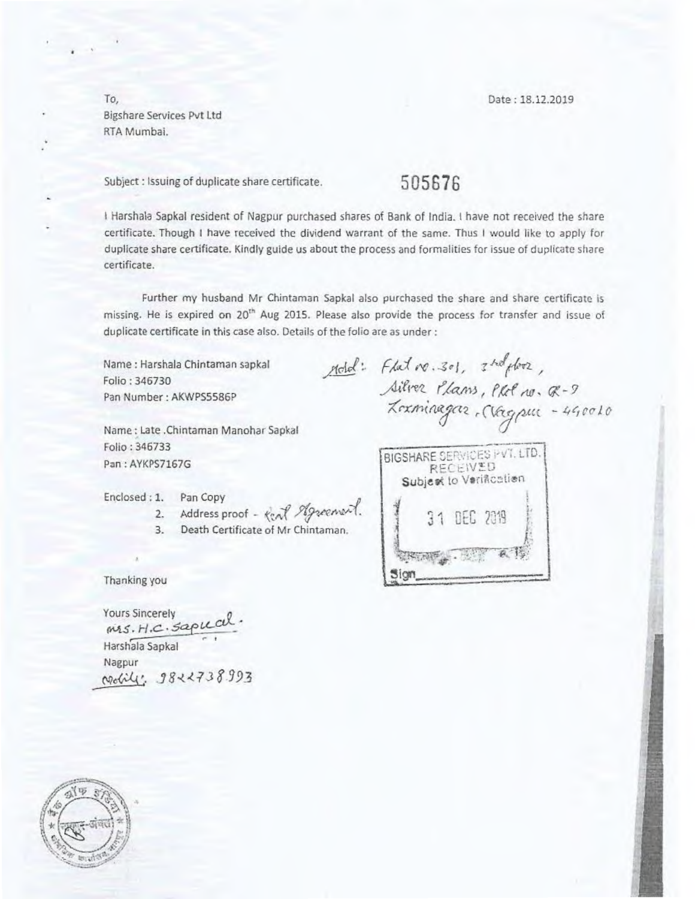To, Date : 18.12.2019 Bigshare Services Pvt Ltd RTA Mumbai.

Subject : Issuing of duplicate share certificate. 505676

I Harshala Sapkal resident of Nagpur purchased shares of Bank of India. I have not received *the* share certificate. Though I have received the dividend warrant of the same. Thus I would like to apply for duplicate share certificate. Kindly guide us about the process and formalities for issue of duplicate share certificate.

Further my husband Mr Chintaman Sapkal also purchased the share and share certificate is missing. He is expired on 20<sup>th</sup> Aug 2015. Please also provide the process for transfer and issue of duplicate certificate in this case also. Details of the folio are as under :

Name : Harshala Chintaman sapkal Folio : 346730 Pan Number: AKWPS5586P

Name : Late .Chintaman Manohar Sapkal Folio : 346733 Pan : AYKPS7167G

Enclosed : 1. Pan Copy

2. Address proof - *Real Agreement*. 11 31 DEC 2019

3. Death Certificate of Mr Chintaman.

Thanking you

Yours Sincerely<br>*MAS. H.C. Saple cull* Harshala Sapkal Nagpur *<u><i><u>podility:</u>* 9822738993</u>

 $p_{\text{old}}$ : Flat  $r_{\text{0}}$ , 301,  $r_{\text{old}}$ Silver Plans, Plot no. Q-*<sup>X</sup>*-*rxii-qat7(e2 "aftitucc* - *4e,CcI0* 

BIGSHARE SERVICES PVT. LTD. RECEIVED Subject to Verification  $t$  ,  $\overline{C}$  ,  $\overline{C}$  ,  $\overline{C}$  ,  $\overline{C}$  ,  $\overline{C}$  $sign$ <sub>----</sub> •.......n••••••••

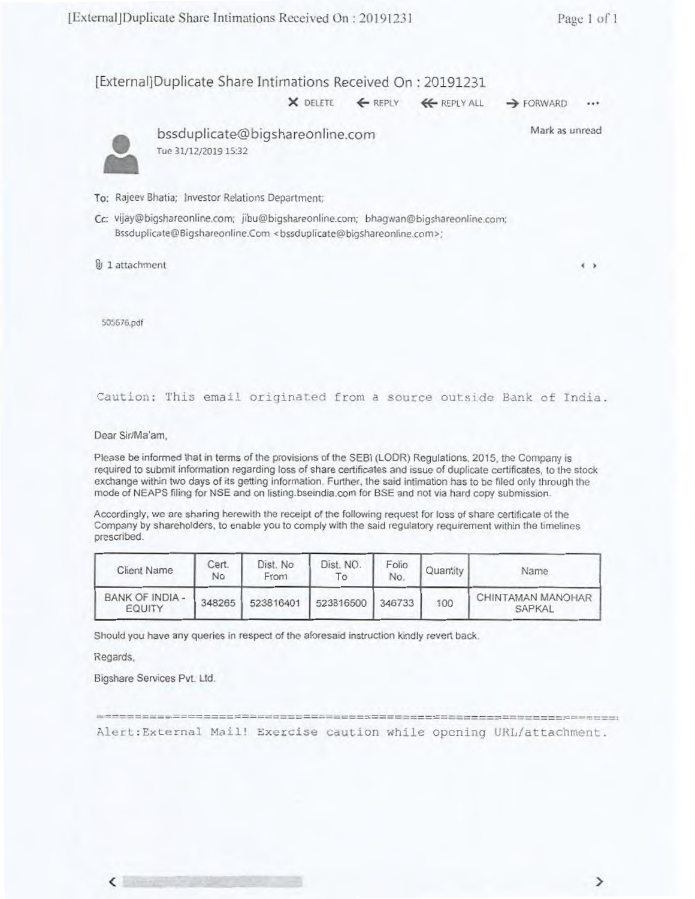[External]Duplicate Share Intimations Received On : 20191231

**X** DELETE ← REPLY ← REPLY ALL → FORWARD •••



• bssduplicate@bigshareonline.com Tue 31/12/2019 15:32

Mark as unread

- To: Rajeev Bhatia; Investor Relations Department;
- Cc: vijay@bigshareonline.com; jibu@bigshareonline.com; bhagwan@bigshareonline.com; Bssduplicate@Bigshareonline.Com <br/>bssduplicate@bigshareonline.com>;
- $\mathbf{\hat{\theta}}$  1 attachment **4 )**  $\mathbf{\hat{\theta}}$

505676.pdf

#### Caution: This email originated from a source outside Bank of India.

Dear Sir/Ma'am,

Please be informed that in terms of the provisions of the SEBI (LODR) Regulations. 2015, the Company is required to submit information regarding loss of share certificates and issue of duplicate certificates, to the stock exchange within two days of its getting information. Further, the said intimation has to be filed only through the mode of NEAPS filing for NSE and on listing.bseindia.com for BSE and not via hard copy submission.

Accordingly, we are sharing herewith the receipt of the following request for loss of share certificate of the Company by shareholders, to enable you to comply with the said regulatory requirement within the timelines prescribed.

| Client Name                      | Cert.<br>No | Dist. No<br>From | Dist. NO<br>To | Folio<br>No. | Quantity | Name                        |
|----------------------------------|-------------|------------------|----------------|--------------|----------|-----------------------------|
| BANK OF INDIA -<br><b>EQUITY</b> | 348265      | 523816401        | 523816500      | 346733       | 100      | CHINTAMAN MANOHAR<br>SAPKAL |

Should you have any queries in respect of the aforesaid instruction kindly revert back.

Regards,

 $\left\langle \right\rangle$ 

Bigshare Services Pvt. Ltd.

AlerL:External Mail! Exercise caution while opening URIdattachment.